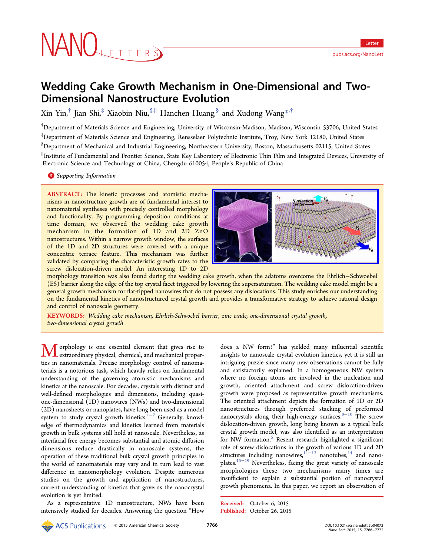# Wedding Cake Growth Mechanism in One-Dimensional and Two-Dimensional Nanostructure Evolution

Xin Yin,<sup>†</sup> Jian Shi,<sup>‡</sup> Xiaobin Niu,<sup>§,||</sup> Hanchen Huang, § and Xudong Wang<sup>\*,†</sup>

† Department of Materials Science and Engineering, University of Wisconsin-Madison, Madis[on](#page-5-0), Wisconsin 53706, United States ‡ Department of Materials Science and Engineering, Rensselaer Polytechnic Institute, Troy, New York 12180, United States § Department of Mechanical and Industrial Engineering, Northeastern University, Boston, Massachusetts 02115, United States ∥ Institute of Fundamental and Frontier Science, State Key Laboratory of Electronic Thin Film and Integrated Devices, University of Electronic Science and Technology of China, Chengdu 610054, People's Republic of China

**S** Supporting Information

[AB](#page-5-0)STRACT: [The kinetic](#page-5-0) processes and atomistic mechanisms in nanostructure growth are of fundamental interest to nanomaterial syntheses with precisely controlled morphology and functionality. By programming deposition conditions at time domain, we observed the wedding cake growth mechanism in the formation of 1D and 2D ZnO nanostructures. Within a narrow growth window, the surfaces of the 1D and 2D structures were covered with a unique concentric terrace feature. This mechanism was further validated by comparing the characteristic growth rates to the screw dislocation-driven model. An interesting 1D to 2D



morphology transition was also found during the wedding cak[e growth, when the adatoms overcome the Ehrlich](http://pubs.acs.org/action/showImage?doi=10.1021/acs.nanolett.5b04072&iName=master.img-000.jpg&w=238&h=105)−Schwoebel (ES) barrier along the edge of the top crystal facet triggered by lowering the supersaturation. The wedding cake model might be a general growth mechanism for flat-tipped nanowires that do not possess any dislocations. This study enriches our understanding on the fundamental kinetics of nanostructured crystal growth and provides a transformative strategy to achieve rational design and control of nanoscale geometry.

KEYWORDS: Wedding cake mechanism, Ehrlich-Schwoebel barrier, zinc oxide, one-dimensional crystal growth, two-dimensional crystal growth

orphology is one essential element that gives rise to extraordinary physical, chemical, and mechanical properties in nanomaterials. Precise morphology control of nanomaterials is a notorious task, which heavily relies on fundamental understanding of the governing atomistic mechanisms and kinetics at the nanoscale. For decades, crystals with distinct and well-defined morphologies and dimensions, including quasione-dimensional (1D) nanowires (NWs) and two-dimensional (2D) nanosheets or nanoplates, have long been used as a model system to study crystal growth kinetics.<sup>1-7</sup> Generally, knowledge of thermodynamics and kinetics learned from materials growth in bulk systems still hold at nan[os](#page-5-0)c[a](#page-5-0)le. Nevertheless, as interfacial free energy becomes substantial and atomic diffusion dimensions reduce drastically in nanoscale systems, the operation of these traditional bulk crystal growth principles in the world of nanomaterials may vary and in turn lead to vast difference in nanomorphology evolution. Despite numerous studies on the growth and application of nanostructures, current understanding of kinetics that governs the nanocrystal evolution is yet limited.

As a representative 1D nanostructure, NWs have been intensively studied for decades. Answering the question "How

does a NW form?" has yielded many influential scientific insights to nanoscale crystal evolution kinetics, yet it is still an intriguing puzzle since many new observations cannot be fully and satisfactorily explained. In a homogeneous NW system where no foreign atoms are involved in the nucleation and growth, oriented attachment and screw dislocation-driven growth were proposed as representative growth mechanisms. The oriented attachment depicts the formation of 1D or 2D nanostructures through preferred stacking of preformed nanocrystals along their high-energy surfaces.<sup>8−10</sup> The screw dislocation-driven growth, long being known as a typical bulk crystal growth model, was also identified as [an in](#page-5-0)terpretation for NW formation.<sup>5</sup> Resent research highlighted a significant role of screw dislocations in the growth of various 1D and 2D structures includin[g](#page-5-0) nanowires, $11-13$  nanotubes, $14$  and nanoplates.15−<sup>19</sup> Nevertheless, facing the great variety of nanoscale morphologies these two m[echan](#page-5-0)isms man[y](#page-5-0) times are insuffi[cient](#page-5-0) to explain a substantial portion of nanocrystal growth phenomena. In this paper, we report an observation of

Received: October 6, 2015 Published: October 26, 2015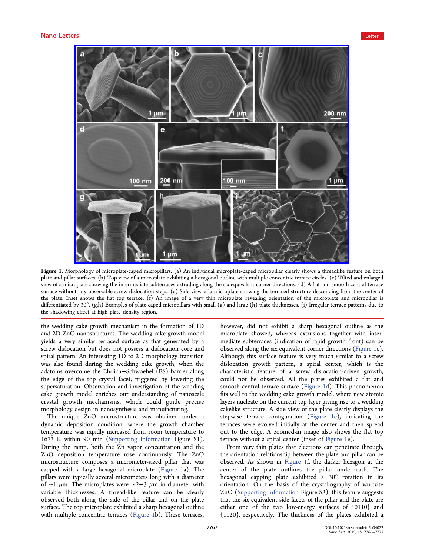<span id="page-1-0"></span>

Figure 1. Mor[phology of microplate-caped micropillars. \(a\) An individual microplate-caped micropillar clearly shows a threadlike f](http://pubs.acs.org/action/showImage?doi=10.1021/acs.nanolett.5b04072&iName=master.img-001.jpg&w=399&h=316)eature on both plate and pillar surfaces. (b) Top view of a microplate exhibiting a hexagonal outline with multiple concentric terrace circles. (c) Tilted and enlarged view of a microplate showing the intermediate subterraces extruding along the six equivalent corner directions. (d) A flat and smooth central terrace surface without any observable screw dislocation steps. (e) Side view of a microplate showing the terraced structure descending from the center of the plate. Inset shows the flat top terrace. (f) An image of a very thin microplate revealing orientation of the microplate and micropillar is differentiated by 30°. (g,h) Examples of plate-caped micropillars with small (g) and large (h) plate thicknesses. (i) Irregular terrace patterns due to the shadowing effect at high plate density region.

the wedding cake growth mechanism in the formation of 1D and 2D ZnO nanostructures. The wedding cake growth model yields a very similar terraced surface as that generated by a screw dislocation but does not possess a dislocation core and spiral pattern. An interesting 1D to 2D morphology transition was also found during the wedding cake growth, when the adatoms overcome the Ehrlich−Schwoebel (ES) barrier along the edge of the top crystal facet, triggered by lowering the supersaturation. Observation and investigation of the wedding cake growth model enriches our understanding of nanoscale crystal growth mechanisms, which could guide precise morphology design in nanosynthesis and manufacturing.

The unique ZnO microstructure was obtained under a dynamic deposition condition, where the growth chamber temperature was rapidly increased from room temperature to 1673 K within 90 min (Supporting Information Figure S1). During the ramp, both the Zn vapor concentration and the ZnO deposition temper[ature rose continuously](http://pubs.acs.org/doi/suppl/10.1021/acs.nanolett.5b04072/suppl_file/nl5b04072_si_001.pdf). The ZnO microstructure composes a micrometer-sized pillar that was capped with a large hexagonal microplate (Figure 1a). The pillars were typically several micrometers long with a diameter of ∼1 μm. The microplates were ∼2−3 μm in diameter with variable thicknesses. A thread-like feature can be clearly observed both along the side of the pillar and on the plate surface. The top microplate exhibited a sharp hexagonal outline with multiple concentric terraces (Figure 1b). These terraces,

however, did not exhibit a sharp hexagonal outline as the microplate showed, whereas extrusions together with intermediate subterraces (indication of rapid growth front) can be observed along the six equivalent corner directions (Figure 1c). Although this surface feature is very much similar to a screw dislocation growth pattern, a spiral center, which is the characteristic feature of a screw dislocation-driven growth, could not be observed. All the plates exhibited a flat and smooth central terrace surface (Figure 1d). This phenomenon fits well to the wedding cake growth model, where new atomic layers nucleate on the current top layer giving rise to a wedding cakelike structure. A side view of the plate clearly displays the stepwise terrace configuration (Figure 1e), indicating the terraces were evolved initially at the center and then spread out to the edge. A zoomed-in image also shows the flat top terrace without a spiral center (inset of Figure 1e).

From very thin plates that electrons can penetrate through, the orientation relationship between the plate and pillar can be observed. As shown in Figure 1f, the darker hexagon at the center of the plate outlines the pillar underneath. The hexagonal capping plate exhibited a 30° rotation in its orientation. On the basis of the crystallography of wurtzite ZnO (Supporting Information Figure S3), this feature suggests that the six equivalent side facets of the pillar and the plate are either [one of the two low-e](http://pubs.acs.org/doi/suppl/10.1021/acs.nanolett.5b04072/suppl_file/nl5b04072_si_001.pdf)nergy surfaces of  ${01\overline{10}}$  and  ${11\overline{2}0}$ , respectively. The thickness of the plates exhibited a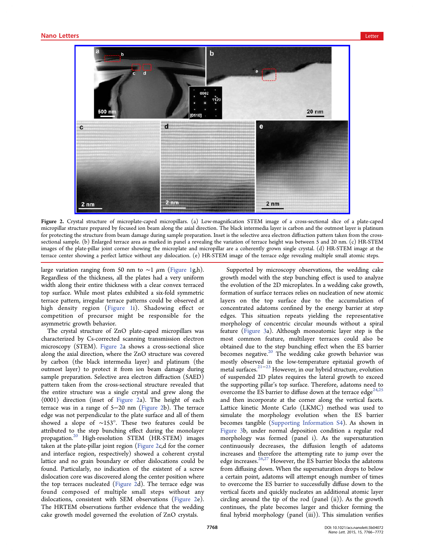

Figure 2. Crystal structure of microplate-caped micropillars. (a) Low-magnification STEM image of a cross-sectional slice of a plate-caped micropillar str[ucture prepared by focused ion beam along the axial direction. The black intermedia layer is carbon and the outmost la](http://pubs.acs.org/action/showImage?doi=10.1021/acs.nanolett.5b04072&iName=master.img-002.jpg&w=400&h=243)yer is platinum for protecting the structure from beam damage during sample preparation. Inset is the selective area electron diffraction pattern taken from the crosssectional sample. (b) Enlarged terrace area as marked in panel a revealing the variation of terrace height was between 5 and 20 nm. (c) HR-STEM images of the plate-pillar joint corner showing the microplate and micropillar are a coherently grown single crystal. (d) HR-STEM image at the terrace center showing a perfect lattice without any dislocation. (e) HR-STEM image of the terrace edge revealing multiple small atomic steps.

large variation ranging from 50 nm to  $\sim$ 1 µm (Figure 1g,h). Regardless of the thickness, all the plates had a very uniform width along their entire thickness with a clear co[nvex terr](#page-1-0)aced top surface. While most plates exhibited a six-fold symmetric terrace pattern, irregular terrace patterns could be observed at high density region (Figure 1i). Shadowing effect or competition of precursor might be responsible for the asymmetric growth behavior.

The crystal structure [of](#page-1-0) [ZnO](#page-1-0) [pl](#page-1-0)ate-caped micropillars was characterized by Cs-corrected scanning transmission electron microscopy (STEM). Figure 2a shows a cross-sectional slice along the axial direction, where the ZnO structure was covered by carbon (the black intermedia layer) and platinum (the outmost layer) to protect it from ion beam damage during sample preparation. Selective area electron diffraction (SAED) pattern taken from the cross-sectional structure revealed that the entire structure was a single crystal and grew along the ⟨0001⟩ direction (inset of Figure 2a). The height of each terrace was in a range of 5−20 nm (Figure 2b). The terrace edge was not perpendicular to the plate surface and all of them showed a slope of ∼153°. These two features could be attributed to the step bunching effect during the monolayer propagation.<sup>20</sup> High-resolution STEM (HR-STEM) images taken at the plate-pillar joint region (Figure 2c,d for the corner and interfac[e](#page-5-0) region, respectively) showed a coherent crystal lattice and no grain boundary or other dislocations could be found. Particularly, no indication of the existent of a screw dislocation core was discovered along the center position where the top terraces nucleated (Figure 2d). The terrace edge was found composed of multiple small steps without any dislocations, consistent with SEM observations (Figure 2e). The HRTEM observations further evidence that the wedding cake growth model governed the evolution of ZnO crystals.

Supported by microscopy observations, the wedding cake growth model with the step bunching effect is used to analyze the evolution of the 2D microplates. In a wedding cake growth, formation of surface terraces relies on nucleation of new atomic layers on the top surface due to the accumulation of concentrated adatoms confined by the energy barrier at step edges. This situation repeats yielding the representative morphology of concentric circular mounds without a spiral feature (Figure 3a). Although monoatomic layer step is the most common feature, multilayer terraces could also be obtained [due to t](#page-3-0)he step bunching effect when the ES barrier becomes negative.<sup>20</sup> The wedding cake growth behavior was mostly observed in the low-temperature epitaxial growth of metal surfaces.21−2[3](#page-5-0) However, in our hybrid structure, evolution of suspended 2D plates requires the lateral growth to exceed the supportin[g p](#page-5-0)i[lla](#page-6-0)r's top surface. Therefore, adatoms need to overcome the ES barrier to diffuse down at the terrace edge<sup> $24,25$ </sup> and then incorporate at the corner along the vertical facets. Lattice kinetic Monte Carlo (LKMC) method was use[d to](#page-6-0) simulate the morphology evolution when the ES barrier becomes tangible (Supporting Information S4). As shown in Figure 3b, under normal deposition condition a regular rod morphology was f[ormed \(panel i\). As the](http://pubs.acs.org/doi/suppl/10.1021/acs.nanolett.5b04072/suppl_file/nl5b04072_si_001.pdf) supersaturation [continuo](#page-3-0)usly decreases, the diffusion length of adatoms increases and therefore the attempting rate to jump over the edge increases.<sup>26,27</sup> However, the ES barrier blocks the adatoms from diffusing down. When the supersaturation drops to below a certain poin[t, ada](#page-6-0)toms will attempt enough number of times to overcome the ES barrier to successfully diffuse down to the vertical facets and quickly nucleates an additional atomic layer circling around the tip of the rod (panel (ii)). As the growth continues, the plate becomes larger and thicker forming the final hybrid morphology (panel (iii)). This simulation verifies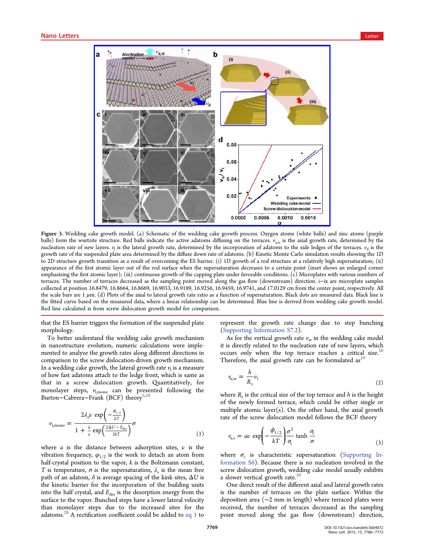<span id="page-3-0"></span>

Figure 3. Wedding ca[ke growth model. \(a\) Schematic of the wedding cake growth process. Oxygen atoms \(white balls\) a](http://pubs.acs.org/action/showImage?doi=10.1021/acs.nanolett.5b04072&iName=master.img-003.jpg&w=343&h=261)nd zinc atoms (purple balls) form the wurtzite structure. Red balls indicate the active adatoms diffusing on the terraces.  $v_{a,w}$  is the axial growth rate, determined by the nucleation rate of new layers.  $v_1$  is the lateral growth rate, determined by the incorporation of adatoms to the side ledges of the terraces.  $v_d$  is the growth rate of the suspended plate area determined by the diffuse down rate of adatoms. (b) Kinetic Monte Carlo simulation results showing the 1D to 2D structure growth transition as a result of overcoming the ES barrier. (i) 1D growth of a rod structure at a relatively high supersaturation; (ii) appearance of the first atomic layer out of the rod surface when the supersaturation decreases to a certain point (inset shows an enlarged corner emphasizing the first atomic layer); (iii) continuous growth of the capping plate under favorable conditions. (c) Microplates with various numbers of terraces. The number of terraces decreased as the sampling point moved along the gas flow (downstream) direction. i−ix are microplate samples collected at position 16.8479, 16.8664, 16.8669, 16.9033, 16.9189, 16.9256, 16.9459, 16.9741, and 17.0129 cm from the center point, respectively. All the scale bars are  $1 \mu$ m. (d) Plots of the axial to lateral growth rate ratio as a function of supersaturation. Black dots are measured data. Black line is the fitted curve based on the measured data, where a linear relationship can be determined. Blue line is derived from wedding cake growth model. Red line calculated is from screw dislocation growth model for comparison.

that the ES barrier triggers the formation of the suspended plate morphology.

To better understand the wedding cake growth mechanism in nanostructure evolution, numeric calculations were implemented to analyze the growth rates along different directions in comparison to the screw dislocation-driven growth mechanism. In a wedding cake growth, the lateral growth rate  $\nu$ <sub>l</sub> is a measure of how fast adatoms attach to the ledge front, which is same as that in a screw dislocation growth. Quantitatively, for monolayer steps,  $v_{\text{l.mono}}$  can be presented following the Burton–Cabrera–Frank (BCF) theory<sup>5,2</sup>

$$
v_{1,\text{mono}} = \frac{2\lambda_s \nu \exp\left(-\frac{\phi_{1/2}}{kT}\right)}{1 + \frac{\delta}{a} \exp\left(\frac{2\Delta U - E_{\text{des}}}{2kT}\right)} \sigma \tag{1}
$$

where *a* is the distance between adsorption sites,  $\nu$  is the vibration frequency,  $\varphi_{1/2}$  is the work to detach an atom from half-crystal position to the vapor,  $k$  is the Boltzmann constant, T is temperature,  $\sigma$  is the supersaturation,  $\lambda_s$  is the mean free path of an adatom,  $\delta$  is average spacing of the kink sites,  $\Delta U$  is the kinetic barrier for the incorporation of the building units into the half crystal, and  $E_{des}$  is the desorption energy from the surface to the vapor. Bunched steps have a lower lateral velocity than monolayer steps due to the increased sites for the adatoms.<sup>28</sup> A rectification coefficient could be added to eq 1 to

represent the growth rate change due to step bunching (Supporting Information S7.2).

As for the vertical growth rate  $v_a$ , in the wedding cake model i[t is directly related to the nuc](http://pubs.acs.org/doi/suppl/10.1021/acs.nanolett.5b04072/suppl_file/nl5b04072_si_001.pdf)leation rate of new layers, which occurs only when the top terrace reaches a critical size.<sup>26</sup> Therefore, the axial growth rate can be formulated as<sup>29</sup>

$$
v_{a,w} = \frac{h}{R_c} v_1 \tag{2}
$$

where  $R_c$  is the critical size of the top terrace and  $h$  is the height of the newly formed terrace, which could be either single or multiple atomic layer(s). On the other hand, the axial growth rate of the screw dislocation model follows the BCF theory

$$
v_{\rm a,s} = a\nu \exp\left(-\frac{\phi_{1/2}}{kT}\right) \frac{\sigma^2}{\sigma_{\rm c}} \tanh \frac{\sigma_{\rm c}}{\sigma} \tag{3}
$$

where  $\sigma_c$  is characteristic supersaturation (Supporting Information S6). Because there is no nucleation involved in the screw dislocation growth, wedding cake model [usually exhibits](http://pubs.acs.org/doi/suppl/10.1021/acs.nanolett.5b04072/suppl_file/nl5b04072_si_001.pdf) [a slower verti](http://pubs.acs.org/doi/suppl/10.1021/acs.nanolett.5b04072/suppl_file/nl5b04072_si_001.pdf)cal growth rate.<sup>30</sup>

One direct result of the different axial and lateral growth rates is the number of terraces [on](#page-6-0) the plate surface. Within the deposition area (∼2 mm in length) where terraced plates were received, the number of terraces decreased as the sampling point moved along the gas flow (downstream) direction,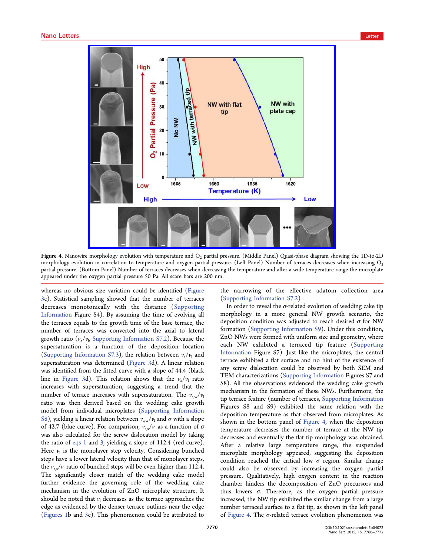<span id="page-4-0"></span>

Figure 4. Nanowire morphology evolution with temperature and  $O<sub>2</sub>$  partial pressure. (Middle Panel) Quasi-phase diagram showing the 1D-to-2D morphology evolutio[n in correlation to temperature and oxygen partial pressure. \(Left Panel\) Number of terraces decreases](http://pubs.acs.org/action/showImage?doi=10.1021/acs.nanolett.5b04072&iName=master.img-004.jpg&w=358&h=294) when increasing  $O_2$ partial pressure. (Bottom Panel) Number of terraces decreases when decreasing the temperature and after a wide temperature range the microplate appeared under the oxygen partial pressure 50 Pa. All scare bars are 200 nm.

whereas no obvious size variation could be identified (Figure 3c). Statistical sampling showed that the number of terraces decreases monotonically with the distance (Sup[porting](#page-3-0) [In](#page-3-0)formation Figure S4). By assuming the time of evolving all the terraces equals to the growth time of the base [terrace, the](http://pubs.acs.org/doi/suppl/10.1021/acs.nanolett.5b04072/suppl_file/nl5b04072_si_001.pdf) [number of](http://pubs.acs.org/doi/suppl/10.1021/acs.nanolett.5b04072/suppl_file/nl5b04072_si_001.pdf) terraces was converted into the axial to lateral growth ratio  $(v_{\rm a}/v_{\rm b}$  Supporting Information S7.2). Because the supersaturation is a function of the deposition location (Supporting Infor[mation S7.3\), the relation betw](http://pubs.acs.org/doi/suppl/10.1021/acs.nanolett.5b04072/suppl_file/nl5b04072_si_001.pdf)een  $v_a/v_1$  and supersaturation was determined (Figure 3d). A linear relation was identifi[ed from the](http://pubs.acs.org/doi/suppl/10.1021/acs.nanolett.5b04072/suppl_file/nl5b04072_si_001.pdf) fitted curve with a slope of 44.4 (black line in Figure 3d). This relatio[n shows](#page-3-0) that the  $v_a/v_1$  ratio increases with supersaturation, suggesting a trend that the number [of terrac](#page-3-0)e increases with supersaturation. The  $v_{a,w}/v_1$ ratio was then derived based on the wedding cake growth model from individual microplates (Supporting Information S8), yielding a linear relation between  $v_{\text{aw}}/v_1$  and  $\sigma$  with a slope of 42.7 (blue curve). For comparison,  $v_{a,s}/v_1$  [as a function of](http://pubs.acs.org/doi/suppl/10.1021/acs.nanolett.5b04072/suppl_file/nl5b04072_si_001.pdf)  $\sigma$ [wa](http://pubs.acs.org/doi/suppl/10.1021/acs.nanolett.5b04072/suppl_file/nl5b04072_si_001.pdf)s also calculated for the screw dislocation model by taking the ratio of eqs 1 and 3, yielding a slope of 112.4 (red curve). Here  $v_1$  is the monolayer step velocity. Considering bunched steps have a [lower](#page-3-0) late[ra](#page-3-0)l velocity than that of monolayer steps, the  $v_{\text{as}}/v_{\text{l}}$  ratio of bunched steps will be even higher than 112.4. The significantly closer match of the wedding cake model further evidence the governing role of the wedding cake mechanism in the evolution of ZnO microplate structure. It should be noted that  $v_1$  decreases as the terrace approaches the edge as evidenced by the denser terrace outlines near the edge (Figures 1b and 3c). This phenomenon could be attributed to

the narrowing of the effective adatom collection area (Supporting Information S7.2)

In order to reveal the  $\sigma$ -related evolution of wedding cake tip [morphology in a more gen](http://pubs.acs.org/doi/suppl/10.1021/acs.nanolett.5b04072/suppl_file/nl5b04072_si_001.pdf)eral NW growth scenario, the deposition condition was adjusted to reach desired  $\sigma$  for NW formation (Supporting Information S9). Under this condition, ZnO NWs were formed with uniform size and geometry, where each NW [exhibited a terraced tip](http://pubs.acs.org/doi/suppl/10.1021/acs.nanolett.5b04072/suppl_file/nl5b04072_si_001.pdf) feature (Supporting Information Figure S7). Just like the microplates, the central terrace exhibited a flat surface and no hint of the [existence of](http://pubs.acs.org/doi/suppl/10.1021/acs.nanolett.5b04072/suppl_file/nl5b04072_si_001.pdf) [any screw d](http://pubs.acs.org/doi/suppl/10.1021/acs.nanolett.5b04072/suppl_file/nl5b04072_si_001.pdf)islocation could be observed by both SEM and TEM characterizations (Supporting Information Figures S7 and S8). All the observations evidenced the wedding cake growth mechanism in the form[ation of these NWs. Fu](http://pubs.acs.org/doi/suppl/10.1021/acs.nanolett.5b04072/suppl_file/nl5b04072_si_001.pdf)rthermore, the tip terrace feature (number of terraces, Supporting Information Figures S8 and S9) exhibited the same relation with the deposition temperature as that observ[ed from microplates. As](http://pubs.acs.org/doi/suppl/10.1021/acs.nanolett.5b04072/suppl_file/nl5b04072_si_001.pdf) shown in the bottom panel of Figure 4, when the deposition temperature decreases the number of terrace at the NW tip decreases and eventually the flat tip morphology was obtained. After a relative large temperature range, the suspended microplate morphology appeared, suggesting the deposition condition reached the critical low  $\sigma$  region. Similar change could also be observed by increasing the oxygen partial pressure. Qualitatively, high oxygen content in the reaction chamber hinders the decomposition of ZnO precursors and thus lowers  $\sigma$ . Therefore, as the oxygen partial pressure increased, the NW tip exhibited the similar change from a large number terraced surface to a flat tip, as shown in the left panel of Figure 4. The  $\sigma$ -related terrace evolution phenomenon was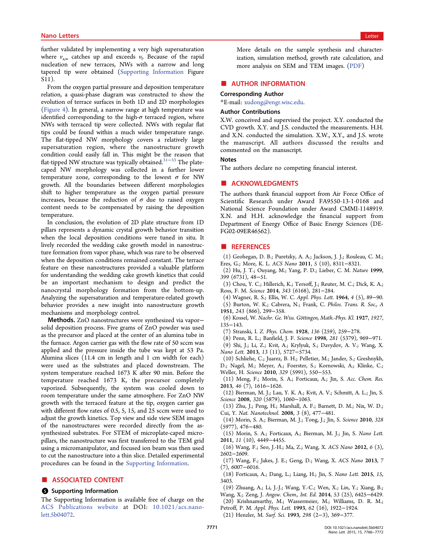<span id="page-5-0"></span>further validated by implementing a very high supersaturation where  $v_{a,w}$  catches up and exceeds  $v_l$ . Because of the rapid nucleation of new terraces, NWs with a narrow and long tapered tip were obtained (Supporting Information Figure S11).

From the oxygen partial pre[ssure and deposition temp](http://pubs.acs.org/doi/suppl/10.1021/acs.nanolett.5b04072/suppl_file/nl5b04072_si_001.pdf)erature relation, a quasi-phase diagram was constructed to show the evolution of terrace surfaces in both 1D and 2D morphologies (Figure 4). In general, a narrow range at high temperature was identified corresponding to the high- $\sigma$  terraced region, where [NWs with](#page-4-0) terraced tip were collected. NWs with regular flat tips could be found within a much wider temperature range. The flat-tipped NW morphology covers a relatively large supersaturation region, where the nanostructure growth condition could easily fall in. This might be the reason that flat-tipped NW structure was typically obtained.31−<sup>33</sup> The platecaped NW morphology was collected in a further lower temperature zone, corresponding to the lo[wes](#page-6-0)t  $\sigma$  for NW growth. All the boundaries between different morphologies shift to higher temperature as the oxygen partial pressure increases, because the reduction of  $\sigma$  due to raised oxygen content needs to be compensated by raising the deposition temperature.

In conclusion, the evolution of 2D plate structure from 1D pillars represents a dynamic crystal growth behavior transition when the local deposition conditions were tuned in situ. It lively recorded the wedding cake growth model in nanostructure formation from vapor phase, which was rare to be observed when the deposition conditions remained constant. The terrace feature on these nanostructures provided a valuable platform for understanding the wedding cake growth kinetics that could be an important mechanism to design and predict the nanocrystal morphology formation from the bottom-up. Analyzing the supersaturation and temperature-related growth behavior provides a new insight into nanostructure growth mechanisms and morphology control.

Methods. ZnO nanostructures were synthesized via vapor− solid deposition process. Five grams of ZnO powder was used as the precursor and placed at the center of an alumina tube in the furnace. Argon carrier gas with the flow rate of 50 sccm was applied and the pressure inside the tube was kept at 53 Pa. Alumina slices (11.4 cm in length and 1 cm width for each) were used as the substrates and placed downstream. The system temperature reached 1673 K after 90 min. Before the temperature reached 1673 K, the precursor completely vaporized. Subsequently, the system was cooled down to room temperature under the same atmosphere. For ZnO NW growth with the terraced feature at the tip, oxygen carrier gas with different flow rates of 0.5, 5, 15, and 25 sccm were used to adjust the growth kinetics. Top view and side view SEM images of the nanostructures were recorded directly from the assynthesized substrates. For STEM of microplate-caped micropillars, the nanostructure was first transferred to the TEM grid using a micromanipulator, and focused ion beam was then used to cut the nanostructure into a thin slice. Detailed experimental procedures can be found in the Supporting Information.

## ■ ASSOCIATED CONTENT

## **6** Supporting Information

The Supporting Information is available free of charge on the ACS Publications website at DOI: 10.1021/acs.nanolett.5b04072.

More details on the sample synthesis and characterization, simulation method, growth rate calculation, and more analysis on SEM and TEM images. (PDF)

# ■ AUTHOR INFORMATION

## Corresponding Author

\*E-mail: xudong@engr.wisc.edu.

#### Author Contributions

X.W. co[nceived and supervised t](mailto:xudong@engr.wisc.edu)he project. X.Y. conducted the CVD growth. X.Y. and J.S. conducted the measurements. H.H. and X.N. conducted the simulation. X.W., X.Y., and J.S. wrote the manuscript. All authors discussed the results and commented on the manuscript.

#### Notes

The authors declare no competing financial interest.

# ■ ACKNOWLEDGMENTS

The authors thank financial support from Air Force Office of Scientific Research under Award FA9550-13-1-0168 and National Science Foundation under Award CMMI-1148919. X.N. and H.H. acknowledge the financial support from Department of Energy Office of Basic Energy Sciences (DE-FG02-09ER46562).

#### ■ REFERENCES

(1) Geohegan, D. B.; Puretzky, A. A.; Jackson, J. J.; Rouleau, C. M.; Eres, G.; More, K. L. ACS Nano 2011, 5 (10), 8311−8321.

(2) Hu, J. T.; Ouyang, M.; Yang, P. D.; Lieber, C. M. Nature 1999, 399 (6731), 48−51.

(3) Chou, Y. C.; Hillerich, K.; Tersoff, J.; Reuter, M. C.; Dick, K. A.; Ross, F. M. Science 2014, 343 (6168), 281−284.

(4) Wagner, R. S.; Ellis, W. C. Appl. Phys. Lett. 1964, 4 (5), 89−90.

(5) Burton, W. K.; Cabrera, N.; Frank, C. Philos. Trans. R. Soc., A 1951, 243 (866), 299−358.

(6) Kossel, W. Nachr. Ge. Wiss. Göttingen, Math.-Phys. Kl. 1927, 1927, 135−143.

(7) Stranski, I. Z. Phys. Chem. 1928, 136 (259), 259−278.

(8) Penn, R. L.; Banfield, J. F. Science 1998, 281 (5379), 969−971. (9) Shi, J.; Li, Z.; Kvit, A.; Krylyuk, S.; Davydov, A. V.; Wang, X. Nano Lett. 2013, 13 (11), 5727−5734.

(10) Schliehe, C.; Juarez, B. H.; Pelletier, M.; Jander, S.; Greshnykh, D.; Nagel, M.; Meyer, A.; Foerster, S.; Kornowski, A.; Klinke, C.; Weller, H. Science 2010, 329 (5991), 550−553.

(11) Meng, F.; Morin, S. A.; Forticaux, A.; Jin, S. Acc. Chem. Res. 2013, 46 (7), 1616−1626.

(12) Bierman, M. J.; Lau, Y. K. A.; Kvit, A. V.; Schmitt, A. L.; Jin, S. Science 2008, 320 (5879), 1060−1063.

(13) Zhu, J.; Peng, H.; Marshall, A. F.; Barnett, D. M.; Nix, W. D.; Cui, Y. Nat. Nanotechnol. 2008, 3 (8), 477−481.

(14) Morin, S. A.; Bierman, M. J.; Tong, J.; Jin, S. Science 2010, 328 (5977), 476−480.

(15) Morin, S. A.; Forticaux, A.; Bierman, M. J.; Jin, S. Nano Lett. 2011, 11 (10), 4449−4455.

(16) Wang, F.; Seo, J.-H.; Ma, Z.; Wang, X. ACS Nano 2012, 6 (3), 2602−2609.

(17) Wang, F.; Jakes, J. E.; Geng, D.; Wang, X. ACS Nano 2013, 7 (7), 6007−6016.

(18) Forticaux, A.; Dang, L.; Liang, H.; Jin, S. Nano Lett. 2015, 15, 3403.

(19) Zhuang, A.; Li, J.-J.; Wang, Y.-C.; Wen, X.; Lin, Y.; Xiang, B.;

Wang, X.; Zeng, J. Angew. Chem., Int. Ed. 2014, 53 (25), 6425−6429. (20) Krishnamurthy, M.; Wassermeier, M.; Williams, D. R. M.;

Petroff, P. M. Appl. Phys. Lett. 1993, 62 (16), 1922−1924.

(21) Henzler, M. Surf. Sci. 1993, 298 (2−3), 369−377.